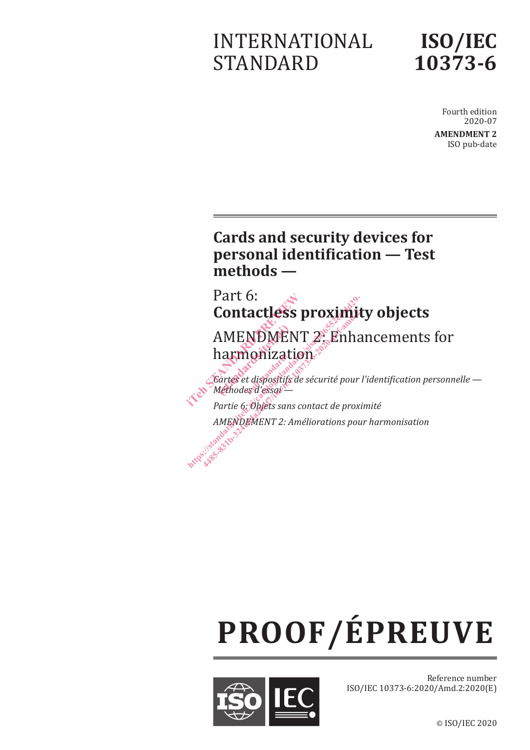# INTERNATIONAL STANDARD

## **ISO/IEC 10373-6**

Fourth edition 2020-07

**AMENDMENT 2** ISO pub-date

## **Cards and security devices for personal identification — Test methods —**

Part 6: **Contactless proximity objects** AMENDMENT 2: Enhancements for harmonization Part 6:<br> **Contactless pro<br>
AMENDMENT 2**<br>
harmonization<br>
scartes et dispositifs de sécula<br> *Startes* et dispositifs de sécula<br>
Partie 6: Chiers sans conta (AMENDME)<br>narmonizati<br>sartes et dispositifs.it<br>nethodes d'essai — Fart o.<br> **Contactless proximit**<br>
AMENDMENT 2. Enha<br>
harmonization.<br>
scartes et dispositifs de sécurité pour l'<br>
Methodes d'essai—<br>
Partie 6: Objets sans contact de proxim<br>
AMENDEMENT 2: Améliorations pour **Contactless proximing**<br>
AMENDMENT 2: Enhancement<br>
harmonization<sup>38</sup><br>
Scartes et dispositifs de sécurité pour<br>
Méthodes d'essai—<br>
Partie 6: Objets sans contact de prox<br>
AMENDEMENT 2: Améliorations pour

*Cartes et dispositifs de sécurité pour l'identification personnelle — Méthodes d'essai —* **IQHILAL**<br>t dispositifs<br>es d'essai

*Partie 6: Objets sans contact de proximité*

*AMENDEMENT 2: Améliorations pour harmonisation* 

# **PROOF/ÉPREUVE**



Reference number ISO/IEC 10373-6:2020/Amd.2:2020(E)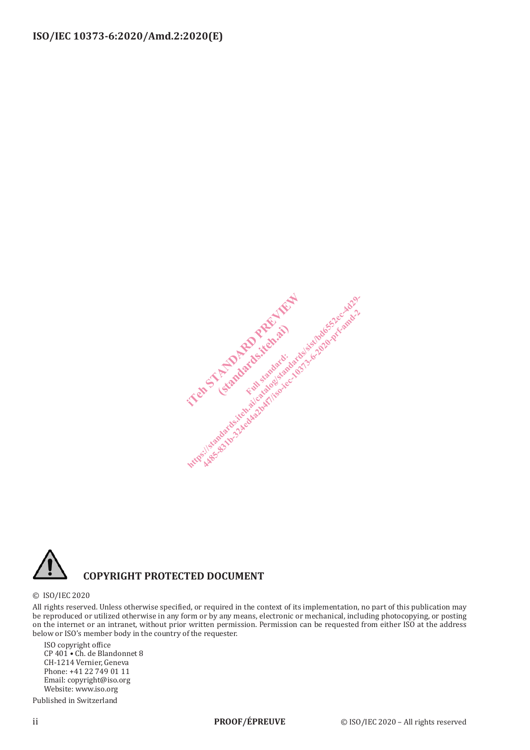



#### © ISO/IEC 2020

All rights reserved. Unless otherwise specified, or required in the context of its implementation, no part of this publication may be reproduced or utilized otherwise in any form or by any means, electronic or mechanical, including photocopying, or posting on the internet or an intranet, without prior written permission. Permission can be requested from either ISO at the address below or ISO's member body in the country of the requester.

ISO copyright office CP 401 • Ch. de Blandonnet 8 CH-1214 Vernier, Geneva Phone: +41 22 749 01 11 Email: copyright@iso.org Website: www.iso.org Published in Switzerland

**PROOF/ÉPREUVE**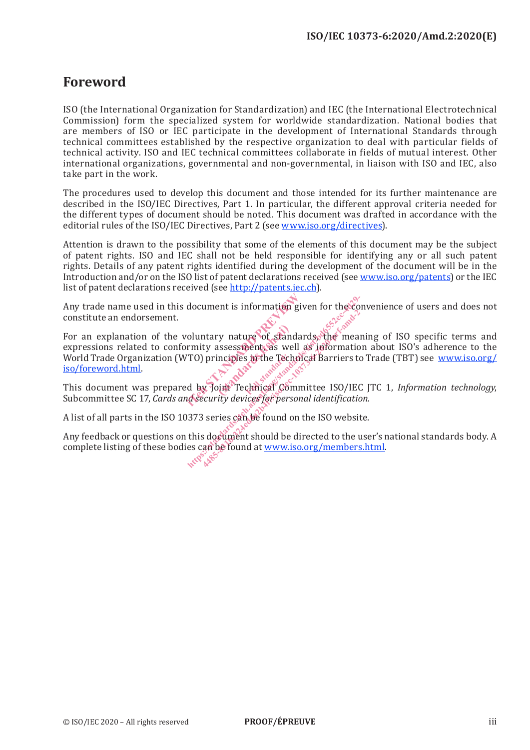### **Foreword**

ISO (the International Organization for Standardization) and IEC (the International Electrotechnical Commission) form the specialized system for worldwide standardization. National bodies that are members of ISO or IEC participate in the development of International Standards through technical committees established by the respective organization to deal with particular fields of technical activity. ISO and IEC technical committees collaborate in fields of mutual interest. Other international organizations, governmental and non-governmental, in liaison with ISO and IEC, also take part in the work.

The procedures used to develop this document and those intended for its further maintenance are described in the ISO/IEC Directives, Part 1. In particular, the different approval criteria needed for the different types of document should be noted. This document was drafted in accordance with the editorial rules of the ISO/IEC Directives, Part 2 (see www.iso.org/directives).

Attention is drawn to the possibility that some of the elements of this document may be the subject of patent rights. ISO and IEC shall not be held responsible for identifying any or all such patent rights. Details of any patent rights identified during the development of the document will be in the Introduction and/or on the ISO list of patent declarations received (see www.iso.org/patents) or the IEC list of patent declarations received (see http://patents.iec.ch).

Any trade name used in this document is information given for the convenience of users and does not constitute an endorsement. constitute an endorsement.

For an explanation of the voluntary nature of standards, the meaning of ISO specific terms and expressions related to conformity assessment, as well as information about ISO's adherence to the World Trade Organization (WTO) principles in the Technical Barriers to Trade (TBT) see www.iso.org/ iso/foreword.html. World Trade Organization (WTO) principles arthe Technical Barriers to Trade (TBT) see <u>www.iso.org/</u><br>
iso/foreword.html.<br>
This document was prepared by Joint Technical Committee ISO/IEC JTC 1, *Information technology*, document is information given<br>voluntary nature of standards,<br>rmity assessment as well as i<br>(TO) principles to the Technical<br>d by Joint Technical Committed<br>assessment as committed by Joint Technical Committed (v) nature of standards.<br>
signification as well inciples to the Tech document is information given for the conduitary nature of standards. the mean rmity assessment as well as information (TO) principles tirthe Technical Gommittee ISO/IEC document Technical Committee ISO/IEC document device

Subcommittee SC 17, *Cards and security devices for personal identification*.

A list of all parts in the ISO 10373 series can be found on the ISO website.

Any feedback or questions on this document should be directed to the user's national standards body. A complete listing of these bodies can be found at www.iso.org/members.html.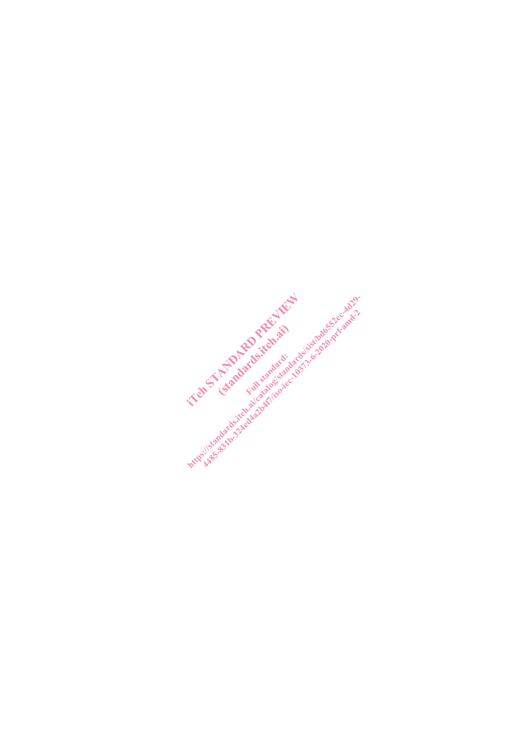It also family started the started in the started in the started in the started in the started in the started in the started in the started in the started in the started in the started in the started in the started in the Elandards.iteh.ai ht ps:/ standards.iteh.ai/catalog/standards/sist/bd6552ec-4d29- [4485-831b-324ed4a2b4f7/iso-iec-10373-6-2020-prf-amd-2](�g�Q�K��=ȧ��G��A=.��M�Q��C`���
ɤ��ً�)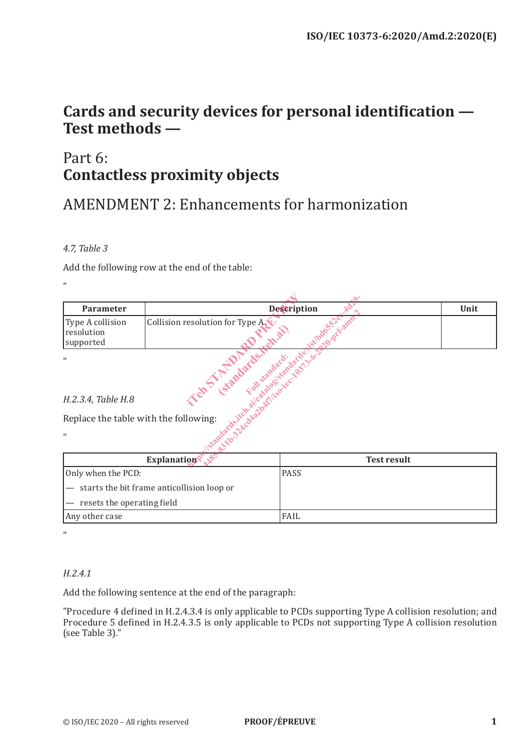## **Cards and security devices for personal identification — Test methods —**

## Part 6: **Contactless proximity objects**

## AMENDMENT 2: Enhancements for harmonization

#### *4.7, Table 3*

Add the following row at the end of the table:

| Parameter                                   |                                 | Description        | Unit |
|---------------------------------------------|---------------------------------|--------------------|------|
| Type A collision<br>resolution<br>supported | Collision resolution for Type A |                    |      |
| $\mathbf{H}$<br>H.2.3.4, Table H.8          | Stano<br><b>CONSTA</b>          |                    |      |
| Replace the table with the following:       | dat ostkehalling                |                    |      |
| $\mathbf{H}$                                |                                 |                    |      |
|                                             | Explanation                     | <b>Test result</b> |      |

#### *H.2.3.4, Table H.8*

| <b>Explanation</b>                         | <b>Test result</b> |
|--------------------------------------------|--------------------|
| Only when the PCD:                         | <b>PASS</b>        |
| starts the bit frame anticollision loop or |                    |
| resets the operating field                 |                    |
| Any other case                             | FAIL               |

"

#### *H.2.4.1*

Add the following sentence at the end of the paragraph:

"Procedure 4 defined in H.2.4.3.4 is only applicable to PCDs supporting Type A collision resolution; and Procedure 5 defined in H.2.4.3.5 is only applicable to PCDs not supporting Type A collision resolution (see Table 3)."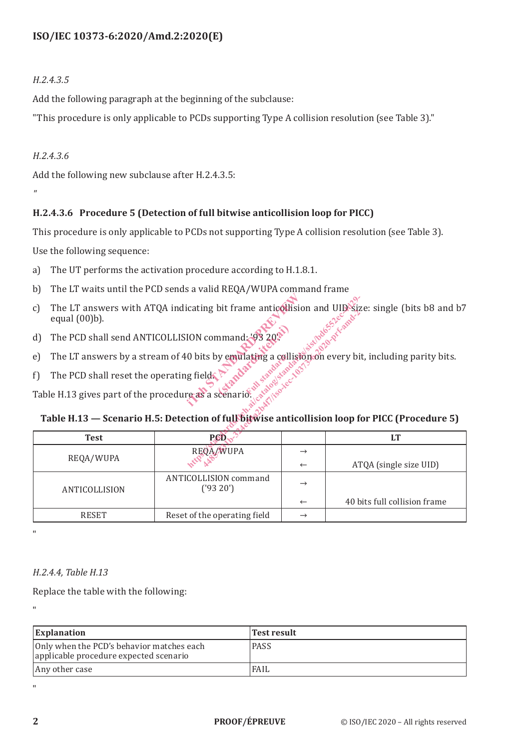#### ISO/IEC 10373-6:2020/Amd.2:2020(E)

#### $H.2.4.3.5$

Add the following paragraph at the beginning of the subclause:

"This procedure is only applicable to PCDs supporting Type A collision resolution (see Table 3)."

#### $H.2.4.3.6$

Add the following new subclause after H.2.4.3.5:

 $\overline{u}$ 

#### H.2.4.3.6 Procedure 5 (Detection of full bitwise anticollision loop for PICC)

This procedure is only applicable to PCDs not supporting Type A collision resolution (see Table 3).

Use the following sequence:

- a) The UT performs the activation procedure according to H.1.8.1.
- b) The LT waits until the PCD sends a valid REQA/WUPA command frame
- c) The LT answers with ATQA indicating bit frame anticollision and UID size: single (bits b8 and b7 equal (00)b). icating bit frame anticollision a
- d) The PCD shall send ANTICOLLISION command: '93 20'.
- e) The LT answers by a stream of 40 bits by emulating a collision on every bit, including parity bits.<br>
f) The PCD shall reset the operating field  $\sum_{n} \alpha_n \delta_n^{\alpha}$  and  $\gamma_n$  and  $\gamma_n$  and  $\gamma_n$  and  $\gamma_n$  and  $\gamma_n$  and  $\$ mmand: 93 2013
- f) The PCD shall reset the operating field.

#### **Table H.13 — Scenario H.5: Detection of full bitwise anticollision loop for PICC (Procedure 5)**

| The LT answers with ATQA indicating bit frame anticollision and UID size: single (bits b8 and b7<br>$\mathcal{C}$<br>equal $(00)b$ ). |                                                                                                                                                        |                                               |               |                              |
|---------------------------------------------------------------------------------------------------------------------------------------|--------------------------------------------------------------------------------------------------------------------------------------------------------|-----------------------------------------------|---------------|------------------------------|
| d)                                                                                                                                    |                                                                                                                                                        | The PCD shall send ANTICOLLISION command: '93 |               |                              |
| e)                                                                                                                                    | The LT answers by a stream of 40 bits by emulating a colliston on every bit, including parity bits.                                                    |                                               |               |                              |
| f                                                                                                                                     | The PCD shall reset the operating fields                                                                                                               |                                               |               |                              |
|                                                                                                                                       | Table H.13 gives part of the procedure as a scenario<br>Table H.13 – Scenario H.5: Detection of full bitwise anticollision loop for PICC (Procedure 5) |                                               |               |                              |
|                                                                                                                                       |                                                                                                                                                        |                                               |               |                              |
|                                                                                                                                       | <b>Test</b>                                                                                                                                            | <b>PCD</b>                                    |               | <b>LT</b>                    |
|                                                                                                                                       |                                                                                                                                                        | REQA/WUPA                                     | $\rightarrow$ |                              |
|                                                                                                                                       | REQA/WUPA                                                                                                                                              |                                               | $\leftarrow$  | ATQA (single size UID)       |
|                                                                                                                                       | ANTICOLLISION                                                                                                                                          | ANTICOLLISION command<br>('93 20')            | $\rightarrow$ |                              |
|                                                                                                                                       |                                                                                                                                                        |                                               | $\leftarrow$  | 40 bits full collision frame |

"

#### *H.2.4.4, Table H.13*

Replace the table with the following:

"

| Explanation                                                                         | Test result |
|-------------------------------------------------------------------------------------|-------------|
| Only when the PCD's behavior matches each<br>applicable procedure expected scenario | <b>PASS</b> |
| Any other case                                                                      | FAIL        |

"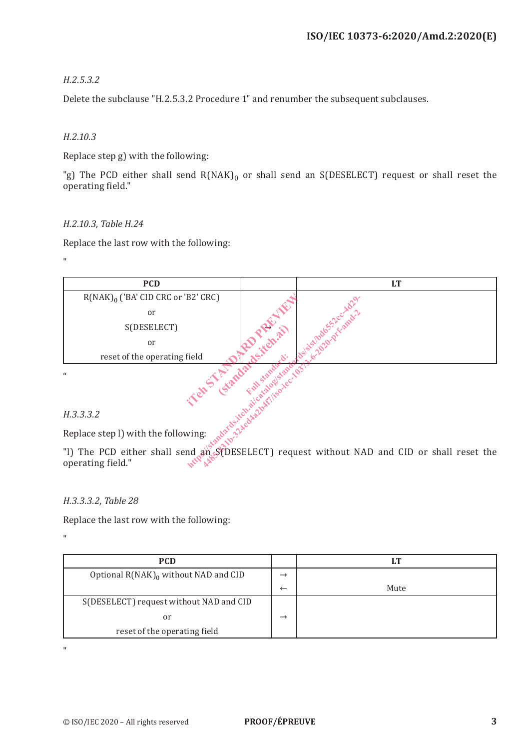#### *H.2.5.3.2*

Delete the subclause "H.2.5.3.2 Procedure 1" and renumber the subsequent subclauses.

#### *H.2.10.3*

Replace step g) with the following:

"g) The PCD either shall send  $R(NAK)_0$  or shall send an S(DESELECT) request or shall reset the operating field."

#### *H.2.10.3, Table H.24*

Replace the last row with the following:

"

| <b>PCD</b>                            | <b>LT</b>                                                                                  |
|---------------------------------------|--------------------------------------------------------------------------------------------|
| $R(NAK)_0$ ('BA' CID CRC or 'B2' CRC) |                                                                                            |
| or                                    |                                                                                            |
| S(DESELECT)                           |                                                                                            |
| or                                    |                                                                                            |
| reset of the operating field          |                                                                                            |
| $\mathcal{U}$                         |                                                                                            |
| H.3.3.3.2                             |                                                                                            |
| Replace step I) with the following:   |                                                                                            |
| operating field."                     | "I) The PCD either shall send an SUESELECT) request without NAD and CID or shall reset the |

"l) The PCD either shall send an S(DESELECT) request without NAD and CID or shall reset the operating field." operating field."

#### *H.3.3.3.2, Table 28*

Replace the last row with the following:

"

| <b>PCD</b>                              |               |      |
|-----------------------------------------|---------------|------|
| Optional $R(NAK)_0$ without NAD and CID | $\rightarrow$ |      |
|                                         | $\leftarrow$  | Mute |
| S(DESELECT) request without NAD and CID |               |      |
| or                                      | $\rightarrow$ |      |
| reset of the operating field            |               |      |

"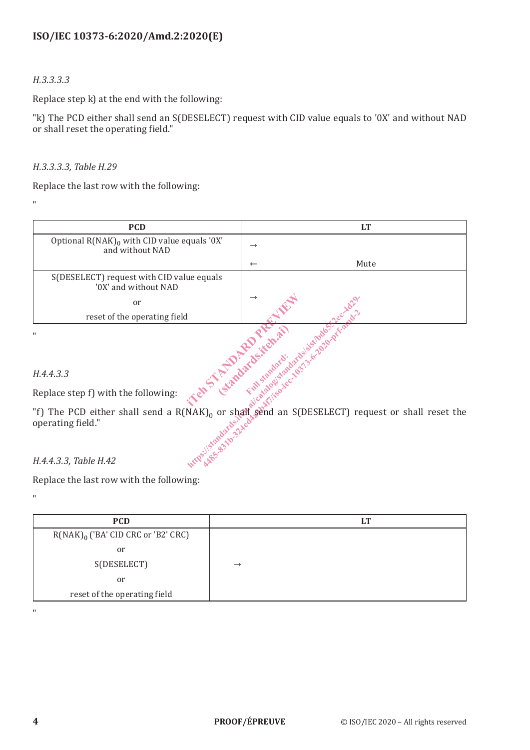#### **ISO/IEC 10373-6:2020/Amd.2:2020(E)**

#### *H.3.3.3.3*

Replace step k) at the end with the following:

"k) The PCD either shall send an S(DESELECT) request with CID value equals to '0X' and without NAD or shall reset the operating field."

#### *H.3.3.3.3, Table H.29*

Replace the last row with the following:

"

| <b>PCD</b>                                                                                                                           |               | <b>LT</b>                                                                                                                                                                                                                                |
|--------------------------------------------------------------------------------------------------------------------------------------|---------------|------------------------------------------------------------------------------------------------------------------------------------------------------------------------------------------------------------------------------------------|
| Optional $R(NAK)_0$ with CID value equals '0X'<br>and without NAD                                                                    | $\rightarrow$ |                                                                                                                                                                                                                                          |
|                                                                                                                                      | $\leftarrow$  | Mute                                                                                                                                                                                                                                     |
| S(DESELECT) request with CID value equals<br>'0X' and without NAD                                                                    |               |                                                                                                                                                                                                                                          |
| or                                                                                                                                   | $\rightarrow$ |                                                                                                                                                                                                                                          |
| reset of the operating field                                                                                                         |               |                                                                                                                                                                                                                                          |
| $\blacksquare$<br>H.4.4.3.3                                                                                                          |               | TAK) <sub>0</sub> or shall seem. We have the third of the state of the state of the state of the state of the state of the state of the state of the state of the state of the state of the state of the state of the state of the state |
|                                                                                                                                      |               |                                                                                                                                                                                                                                          |
| Replace step f) with the following:                                                                                                  |               |                                                                                                                                                                                                                                          |
| "f) The PCD either shall send a $R(NAK)_0$ or shall send an S(DESELECT) request or shall reset the<br>shan shan<br>operating field." |               |                                                                                                                                                                                                                                          |
| H.4.4.3.3, Table H.42                                                                                                                |               |                                                                                                                                                                                                                                          |

"

#### *H.4.4.3.3*

"f) The PCD either shall send a R(NAK)<sub>0</sub> or shall send an S(DESELECT) request or shall reset the operating field."<br>By the send and send an S(DESELECT) request or shall reset the operating field." operating field."

#### *H.4.4.3.3, Table H.42*

Replace the last row with the following:

**PCD LT**  $R(NAK)<sub>0</sub>$  ('BA' CID CRC or 'B2' CRC) or S(DESELECT) or reset of the operating field  $\rightarrow$ 

"

"